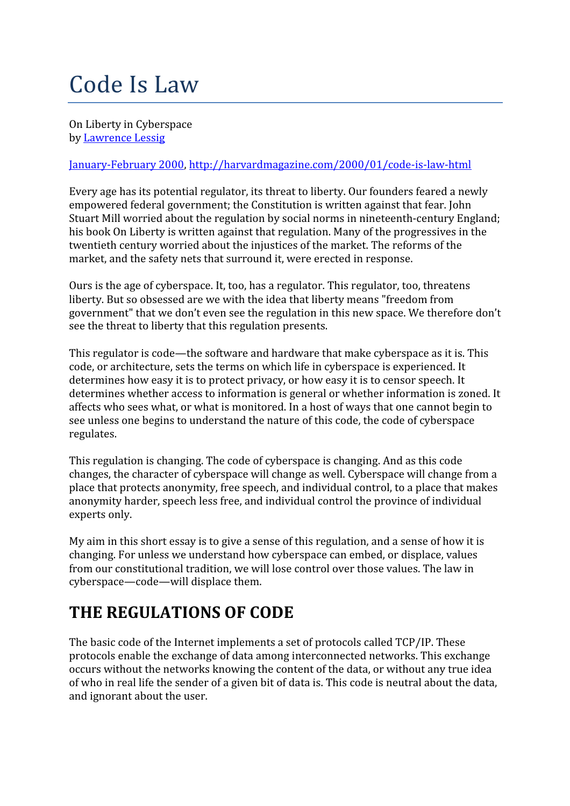# Code Is Law

On Liberty in Cyberspace by Lawrence Lessig

#### January-February 2000, http://harvardmagazine.com/2000/01/code-is-law-html

Every age has its potential regulator, its threat to liberty. Our founders feared a newly empowered federal government; the Constitution is written against that fear. John Stuart Mill worried about the regulation by social norms in nineteenth-century England; his book On Liberty is written against that regulation. Many of the progressives in the twentieth century worried about the injustices of the market. The reforms of the market, and the safety nets that surround it, were erected in response.

Ours is the age of cyberspace. It, too, has a regulator. This regulator, too, threatens liberty. But so obsessed are we with the idea that liberty means "freedom from government" that we don't even see the regulation in this new space. We therefore don't see the threat to liberty that this regulation presents.

This regulator is code—the software and hardware that make cyberspace as it is. This code, or architecture, sets the terms on which life in cyberspace is experienced. It determines how easy it is to protect privacy, or how easy it is to censor speech. It determines whether access to information is general or whether information is zoned. It affects who sees what, or what is monitored. In a host of ways that one cannot begin to see unless one begins to understand the nature of this code, the code of cyberspace regulates.

This regulation is changing. The code of cyberspace is changing. And as this code changes, the character of cyberspace will change as well. Cyberspace will change from a place that protects anonymity, free speech, and individual control, to a place that makes anonymity harder, speech less free, and individual control the province of individual experts only.

My aim in this short essay is to give a sense of this regulation, and a sense of how it is changing. For unless we understand how cyberspace can embed, or displace, values from our constitutional tradition, we will lose control over those values. The law in cyberspace—code—will displace them.

### THE REGULATIONS OF CODE

The basic code of the Internet implements a set of protocols called TCP/IP. These protocols enable the exchange of data among interconnected networks. This exchange occurs without the networks knowing the content of the data, or without any true idea of who in real life the sender of a given bit of data is. This code is neutral about the data, and ignorant about the user.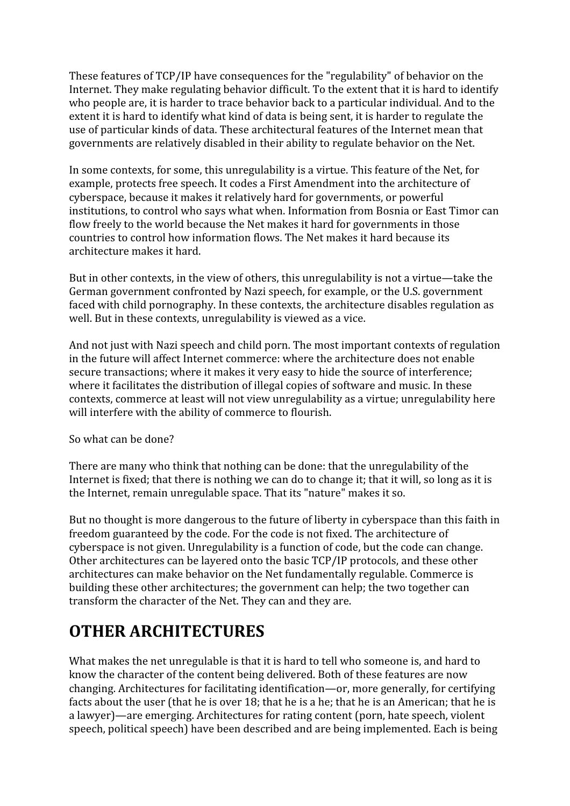These features of TCP/IP have consequences for the "regulability" of behavior on the Internet. They make regulating behavior difficult. To the extent that it is hard to identify who people are, it is harder to trace behavior back to a particular individual. And to the extent it is hard to identify what kind of data is being sent, it is harder to regulate the use of particular kinds of data. These architectural features of the Internet mean that governments are relatively disabled in their ability to regulate behavior on the Net.

In some contexts, for some, this unregulability is a virtue. This feature of the Net, for example, protects free speech. It codes a First Amendment into the architecture of cyberspace, because it makes it relatively hard for governments, or powerful institutions, to control who says what when. Information from Bosnia or East Timor can flow freely to the world because the Net makes it hard for governments in those countries to control how information flows. The Net makes it hard because its architecture makes it hard.

But in other contexts, in the view of others, this unregulability is not a virtue—take the German government confronted by Nazi speech, for example, or the U.S. government faced with child pornography. In these contexts, the architecture disables regulation as well. But in these contexts, unregulability is viewed as a vice.

And not just with Nazi speech and child porn. The most important contexts of regulation in the future will affect Internet commerce: where the architecture does not enable secure transactions; where it makes it very easy to hide the source of interference; where it facilitates the distribution of illegal copies of software and music. In these contexts, commerce at least will not view unregulability as a virtue; unregulability here will interfere with the ability of commerce to flourish.

So what can be done?

There are many who think that nothing can be done: that the unregulability of the Internet is fixed; that there is nothing we can do to change it; that it will, so long as it is the Internet, remain unregulable space. That its "nature" makes it so.

But no thought is more dangerous to the future of liberty in cyberspace than this faith in freedom guaranteed by the code. For the code is not fixed. The architecture of cyberspace is not given. Unregulability is a function of code, but the code can change. Other architectures can be layered onto the basic TCP/IP protocols, and these other architectures can make behavior on the Net fundamentally regulable. Commerce is building these other architectures; the government can help; the two together can transform the character of the Net. They can and they are.

### OTHER ARCHITECTURES

What makes the net unregulable is that it is hard to tell who someone is, and hard to know the character of the content being delivered. Both of these features are now changing. Architectures for facilitating identification—or, more generally, for certifying facts about the user (that he is over 18; that he is a he; that he is an American; that he is a lawyer)—are emerging. Architectures for rating content (porn, hate speech, violent speech, political speech) have been described and are being implemented. Each is being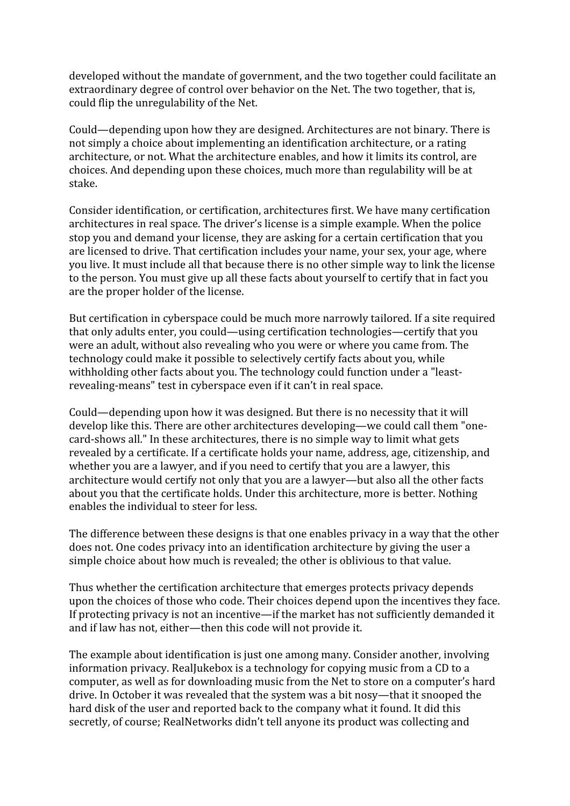developed without the mandate of government, and the two together could facilitate an extraordinary degree of control over behavior on the Net. The two together, that is, could flip the unregulability of the Net.

Could—depending upon how they are designed. Architectures are not binary. There is not simply a choice about implementing an identification architecture, or a rating architecture, or not. What the architecture enables, and how it limits its control, are choices. And depending upon these choices, much more than regulability will be at stake.

Consider identification, or certification, architectures first. We have many certification architectures in real space. The driver's license is a simple example. When the police stop you and demand your license, they are asking for a certain certification that you are licensed to drive. That certification includes your name, your sex, your age, where you live. It must include all that because there is no other simple way to link the license to the person. You must give up all these facts about yourself to certify that in fact you are the proper holder of the license.

But certification in cyberspace could be much more narrowly tailored. If a site required that only adults enter, you could—using certification technologies—certify that you were an adult, without also revealing who you were or where you came from. The technology could make it possible to selectively certify facts about you, while withholding other facts about you. The technology could function under a "leastrevealing-means" test in cyberspace even if it can't in real space.

Could—depending upon how it was designed. But there is no necessity that it will develop like this. There are other architectures developing—we could call them "onecard-shows all." In these architectures, there is no simple way to limit what gets revealed by a certificate. If a certificate holds your name, address, age, citizenship, and whether you are a lawyer, and if you need to certify that you are a lawyer, this architecture would certify not only that you are a lawyer—but also all the other facts about you that the certificate holds. Under this architecture, more is better. Nothing enables the individual to steer for less.

The difference between these designs is that one enables privacy in a way that the other does not. One codes privacy into an identification architecture by giving the user a simple choice about how much is revealed; the other is oblivious to that value.

Thus whether the certification architecture that emerges protects privacy depends upon the choices of those who code. Their choices depend upon the incentives they face. If protecting privacy is not an incentive—if the market has not sufficiently demanded it and if law has not, either—then this code will not provide it.

The example about identification is just one among many. Consider another, involving information privacy. RealJukebox is a technology for copying music from a CD to a computer, as well as for downloading music from the Net to store on a computer's hard drive. In October it was revealed that the system was a bit nosy—that it snooped the hard disk of the user and reported back to the company what it found. It did this secretly, of course; RealNetworks didn't tell anyone its product was collecting and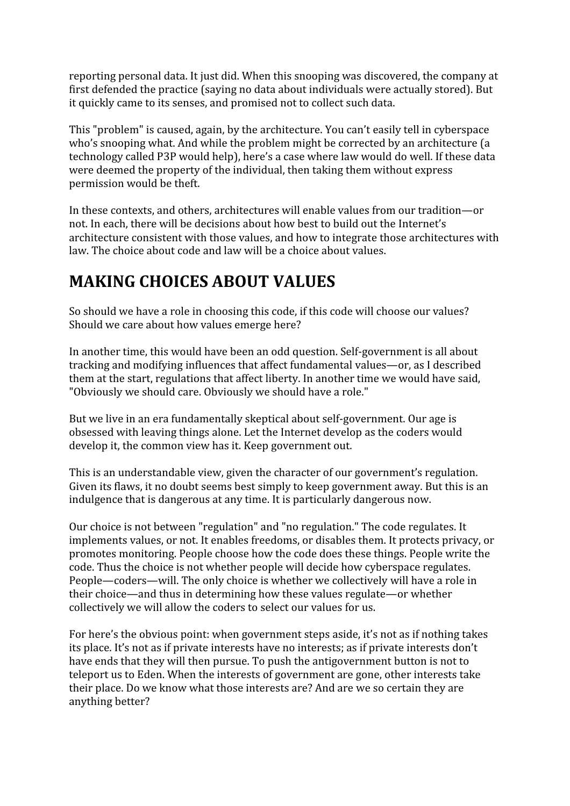reporting personal data. It just did. When this snooping was discovered, the company at first defended the practice (saying no data about individuals were actually stored). But it quickly came to its senses, and promised not to collect such data.

This "problem" is caused, again, by the architecture. You can't easily tell in cyberspace who's snooping what. And while the problem might be corrected by an architecture (a technology called P3P would help), here's a case where law would do well. If these data were deemed the property of the individual, then taking them without express permission would be theft.

In these contexts, and others, architectures will enable values from our tradition—or not. In each, there will be decisions about how best to build out the Internet's architecture consistent with those values, and how to integrate those architectures with law. The choice about code and law will be a choice about values.

## MAKING CHOICES ABOUT VALUES

So should we have a role in choosing this code, if this code will choose our values? Should we care about how values emerge here?

In another time, this would have been an odd question. Self-government is all about tracking and modifying influences that affect fundamental values—or, as I described them at the start, regulations that affect liberty. In another time we would have said, "Obviously we should care. Obviously we should have a role."

But we live in an era fundamentally skeptical about self-government. Our age is obsessed with leaving things alone. Let the Internet develop as the coders would develop it, the common view has it. Keep government out.

This is an understandable view, given the character of our government's regulation. Given its flaws, it no doubt seems best simply to keep government away. But this is an indulgence that is dangerous at any time. It is particularly dangerous now.

Our choice is not between "regulation" and "no regulation." The code regulates. It implements values, or not. It enables freedoms, or disables them. It protects privacy, or promotes monitoring. People choose how the code does these things. People write the code. Thus the choice is not whether people will decide how cyberspace regulates. People—coders—will. The only choice is whether we collectively will have a role in their choice—and thus in determining how these values regulate—or whether collectively we will allow the coders to select our values for us.

For here's the obvious point: when government steps aside, it's not as if nothing takes its place. It's not as if private interests have no interests; as if private interests don't have ends that they will then pursue. To push the antigovernment button is not to teleport us to Eden. When the interests of government are gone, other interests take their place. Do we know what those interests are? And are we so certain they are anything better?